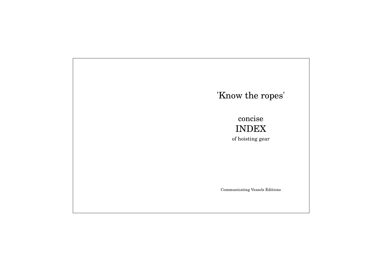# 'Know the ropes' concise INDEX of hoisting gear Communicating Vessels Editions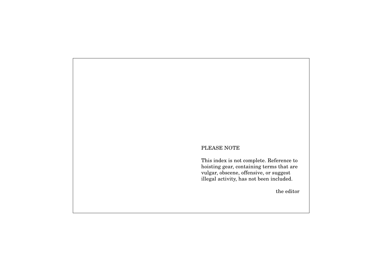# PLEASE NOTE

This index is not complete. Reference to hoisting gear, containing terms that are vulgar, obscene, offensive, or suggest illegal activity, has not been included.

the editor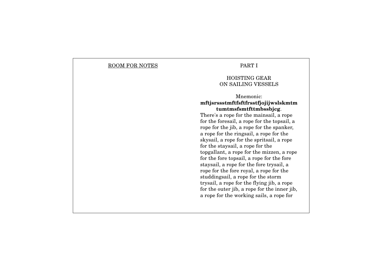## ROOM FOR NOTES

#### PART I

## HOISTING GEAR ON SAILING VESSELS

# Mnemonic: **mftjsrssstmftfsftfrsstfjojijwslskmtm tumtmsfsmtfttmbssbjcg**. There's a rope for the mainsail, a rope for the foresail, a rope for the topsail, a rope for the jib, a rope for the spanker, a rope for the ringsail, a rope for the skysail, a rope for the spritsail, a rope for the staysail, a rope for the topgallant, a rope for the mizzen, a rope

for the fore topsail, a rope for the fore staysail, a rope for the fore trysail, a rope for the fore royal, a rope for the studdingsail, a rope for the storm trysail, a rope for the flying jib, a rope for the outer jib, a rope for the inner jib, a rope for the working sails, a rope for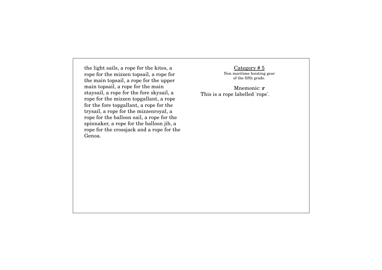the light sails, a rope for the kites, a rope for the mizzen topsail, a rope for the main topsail, a rope for the upper main topsail, a rope for the main staysail, a rope for the fore skysail, a rope for the mizzen topgallant, a rope for the fore topgallant, a rope for the trysail, a rope for the mizzenroyal, a rope for the balloon sail, a rope for the spinnaker, a rope for the balloon jib, a rope for the crossjack and a rope for the Genoa.

Category # 5 Non maritime hoisting gear of the fifth grade.

Mnemonic: **r** This is a rope labelled 'rope'.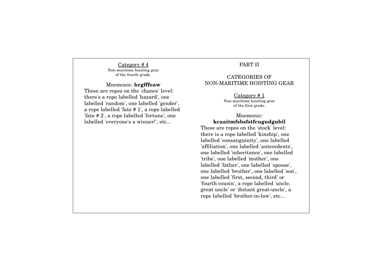Category # 4 Non-maritime hoisting gear of the fourth grade.

#### Mnemonic: **hrgfffeaw**

These are ropes on the 'chance' level: there's a rope labelled 'hazard', one labelled 'random', one labelled 'gender', a rope labelled 'fate # 1', a rope labelled 'fate # 2', a rope labelled 'fortune', one labelled 'everyone's a winner!', etc...

# PART II

## CATEGORIES OF NON-MARITIME HOISTING GEAR

Category # 1 Non-maritime hoisting gear of the first grade.

## Mnemonic: **kcaaitmfsbsfstfcugudgubil**

These are ropes on the 'stock' level: there is a rope labelled 'kinship', one labelled 'consanguinity', one labelled 'affiliation', one labelled 'antecedents', one labelled 'inheritance', one labelled 'tribe', one labelled 'mother', one labelled 'father', one labelled 'spouse', one labelled 'brother', one labelled 'son', one labelled 'first, second, third' or 'fourth cousin', a rope labelled 'uncle, great uncle' or 'distant great-uncle', a rope labelled 'brother-in-law', etc...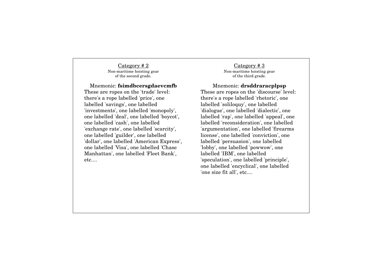Category # 2 Non-maritime hoisting gear of the second grade.

Mnemonic: **fsimdbcersgdaevcmfb** These are ropes on the 'trade' level: there's a rope labelled 'price', one labelled 'savings', one labelled 'investments', one labelled 'monopoly', one labelled 'deal', one labelled 'boycot', one labelled 'cash', one labelled 'exchange rate', one labelled 'scarcity', one labelled 'guilder', one labelled 'dollar', one labelled 'American Express', one labelled 'Visa', one labelled 'Chase Manhattan', one labelled 'Fleet Bank', etc....

Category # 3 Non-maritime hoisting gear of the third grade.

Mnemonic: **drsddraracplpsp** These are ropes on the 'discourse' level: there's a rope labelled 'rhetoric', one labelled 'soliloquy', one labelled 'dialogue', one labelled 'dialectic', one labelled 'rap', one labelled 'appeal', one labelled 'reconsideration', one labelled 'argumentation', one labelled 'firearms license', one labelled 'conviction', one labelled 'persuasion', one labelled 'lobby', one labelled 'powwow', one labelled 'IBM', one labelled 'speculation', one labelled 'principle', one labelled 'encyclical', one labelled 'one size fit all', etc....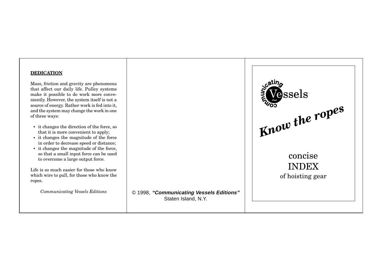# **DEDICATION**

Mass, friction and gravity are phenomena that affect our daily life. Pulley systems make it possible to do work more conveniently. However, the system itself is not a source of energy. Rather work is fed into it, and the system may change the work in one of three ways:

- it changes the direction of the force, so that it is more convenient to apply;
- it changes the magnitude of the force in order to decrease speed or distance;
- it changes the magnitude of the force, so that a small input force can be used to overcome a large output force.

Life is so much easier for those who know which wire to pull, for those who know the ropes.

*Communicating Vessels Editions*

© 1998, **"Communicating Vessels Editions"** Staten Island, N.Y.